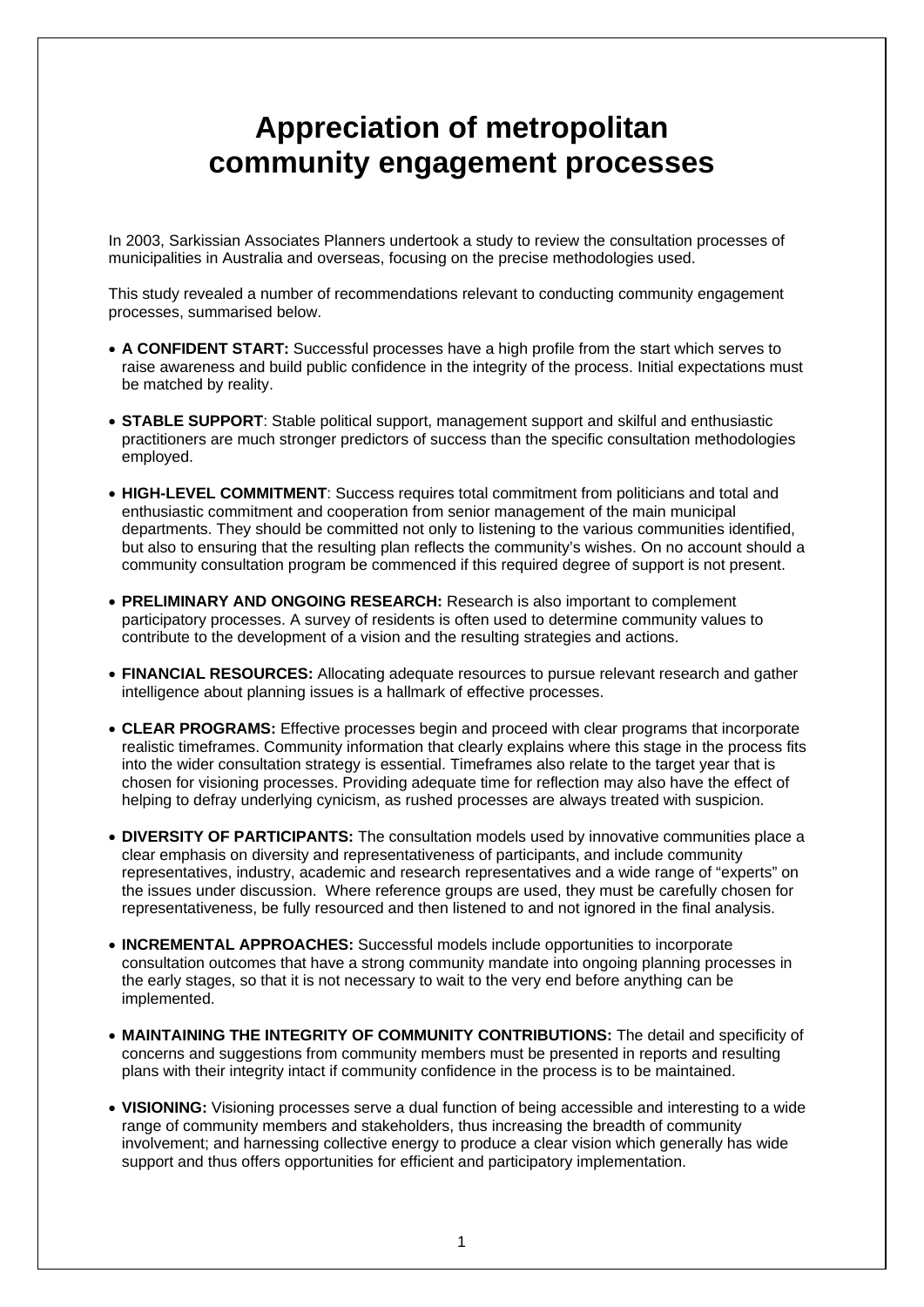## **Appreciation of metropolitan community engagement processes**

In 2003, Sarkissian Associates Planners undertook a study to review the consultation processes of municipalities in Australia and overseas, focusing on the precise methodologies used.

This study revealed a number of recommendations relevant to conducting community engagement processes, summarised below.

- **A CONFIDENT START:** Successful processes have a high profile from the start which serves to raise awareness and build public confidence in the integrity of the process. Initial expectations must be matched by reality.
- **STABLE SUPPORT**: Stable political support, management support and skilful and enthusiastic practitioners are much stronger predictors of success than the specific consultation methodologies employed.
- **HIGH-LEVEL COMMITMENT**: Success requires total commitment from politicians and total and enthusiastic commitment and cooperation from senior management of the main municipal departments. They should be committed not only to listening to the various communities identified, but also to ensuring that the resulting plan reflects the community's wishes. On no account should a community consultation program be commenced if this required degree of support is not present.
- **PRELIMINARY AND ONGOING RESEARCH:** Research is also important to complement participatory processes. A survey of residents is often used to determine community values to contribute to the development of a vision and the resulting strategies and actions.
- **FINANCIAL RESOURCES:** Allocating adequate resources to pursue relevant research and gather intelligence about planning issues is a hallmark of effective processes.
- **CLEAR PROGRAMS:** Effective processes begin and proceed with clear programs that incorporate realistic timeframes. Community information that clearly explains where this stage in the process fits into the wider consultation strategy is essential. Timeframes also relate to the target year that is chosen for visioning processes. Providing adequate time for reflection may also have the effect of helping to defray underlying cynicism, as rushed processes are always treated with suspicion.
- **DIVERSITY OF PARTICIPANTS:** The consultation models used by innovative communities place a clear emphasis on diversity and representativeness of participants, and include community representatives, industry, academic and research representatives and a wide range of "experts" on the issues under discussion. Where reference groups are used, they must be carefully chosen for representativeness, be fully resourced and then listened to and not ignored in the final analysis.
- **INCREMENTAL APPROACHES:** Successful models include opportunities to incorporate consultation outcomes that have a strong community mandate into ongoing planning processes in the early stages, so that it is not necessary to wait to the very end before anything can be implemented.
- **MAINTAINING THE INTEGRITY OF COMMUNITY CONTRIBUTIONS:** The detail and specificity of concerns and suggestions from community members must be presented in reports and resulting plans with their integrity intact if community confidence in the process is to be maintained.
- **VISIONING:** Visioning processes serve a dual function of being accessible and interesting to a wide range of community members and stakeholders, thus increasing the breadth of community involvement; and harnessing collective energy to produce a clear vision which generally has wide support and thus offers opportunities for efficient and participatory implementation.